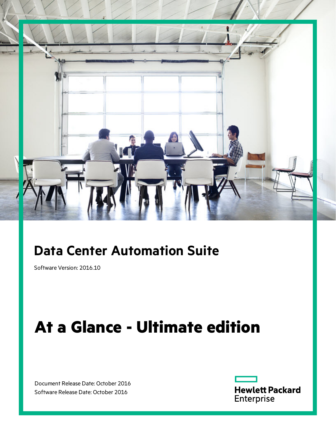

## **Data Center Automation Suite**

Software Version: 2016.10

# **At a Glance - Ultimate edition**

Document Release Date: October 2016 Software Release Date: October 2016

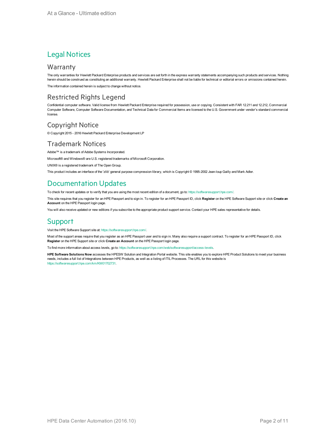### Legal Notices

#### **Warranty**

The only warranties for Hewlett Packard Enterprise products and services are set forth in the express warranty statements accompanying such products and services. Nothing herein should be construed as constituting an additional warranty. Hewlett Packard Enterprise shall not be liable for technical or editorial errors or omissions contained herein.

The information contained herein is subject to change without notice.

### Restricted Rights Legend

Confidential computer software. Valid license from Hewlett Packard Enterprise required for possession, use or copying. Consistent with FAR 12.211 and 12.212, Commercial Computer Software, Computer Software Documentation, and Technical Data for Commercial Items are licensed to the U.S. Government under vendor's standard commercial license.

#### Copyright Notice

© Copyright 2015 - 2016 Hewlett Packard Enterprise Development LP

#### Trademark Notices

Adobe™ is a trademark of Adobe Systems Incorporated.

Microsoft® and Windows® are U.S. registered trademarks of Microsoft Corporation.

UNIX® is a registered trademark of The Open Group.

This product includes an interface of the 'zlib' general purpose compression library, which is Copyright © 1995-2002 Jean-loup Gailly and Mark Adler.

### Documentation Updates

To check for recent updates or to verify that you are using the most recent edition of a document, go to: <https://softwaresupport.hpe.com/>.

This site requires that you register for an HPE Passport and to sign in. To register for an HPE Passport ID, click **Register** on the HPE Software Support site or click **Create an Account** on the HPE Passport login page.

You will also receive updated or new editions if you subscribe to the appropriate product support service. Contact your HPE sales representative for details.

### **Support**

Visit the HPE Software Support site at: <https://softwaresupport.hpe.com/>.

Most of the support areas require that you register as an HPE Passport user and to sign in. Many also require a support contract. To register for an HPE Passport ID, click **Register** on the HPE Support site or click **Create an Account** on the HPE Passport login page.

To find more information about access levels, go to: <https://softwaresupport.hpe.com/web/softwaresupport/access-levels>.

**HPE Software Solutions Now** accesses the HPESW Solution and Integration Portal website. This site enables you to explore HPE Product Solutions to meet your business needs, includes a full list of Integrations between HPE Products, as well as a listing of ITIL Processes. The URL for this website is [https://softwaresupport.hpe.com/km/KM01702731.](https://softwaresupport.hpe.com/km/KM01702731)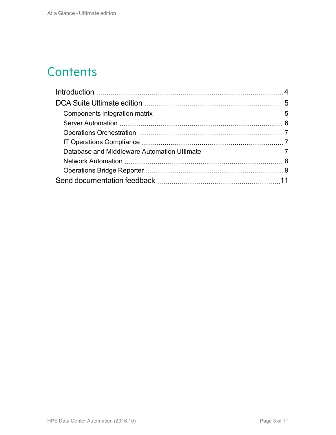## **Contents**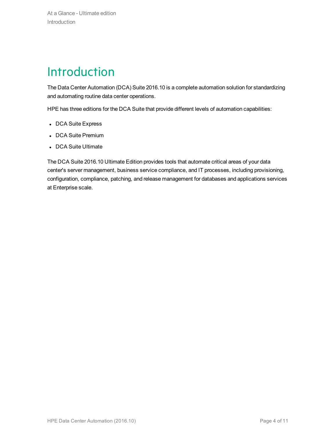## <span id="page-3-0"></span>**Introduction**

The Data Center Automation (DCA) Suite 2016.10 is a complete automation solution for standardizing and automating routine data center operations.

HPE has three editions for the DCA Suite that provide different levels of automation capabilities:

- DCA Suite Express
- DCA Suite Premium
- DCA Suite Ultimate

The DCA Suite 2016.10 Ultimate Edition provides tools that automate critical areas of your data center's server management, business service compliance, and IT processes, including provisioning, configuration, compliance, patching, and release management for databases and applications services at Enterprise scale.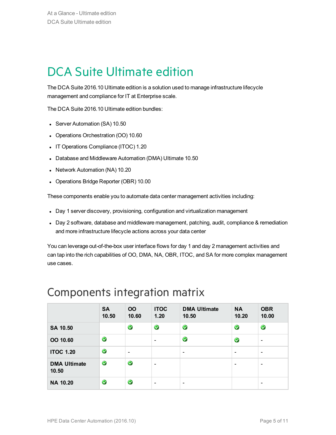## <span id="page-4-0"></span>DCA Suite Ultimate edition

The DCA Suite 2016.10 Ultimate edition is a solution used to manage infrastructure lifecycle management and compliance for IT at Enterprise scale.

The DCA Suite 2016.10 Ultimate edition bundles:

- Server Automation (SA) 10.50
- Operations Orchestration (OO) 10.60
- IT Operations Compliance (ITOC) 1.20
- Database and Middleware Automation (DMA) Ultimate 10.50
- Network Automation (NA) 10.20
- Operations Bridge Reporter (OBR) 10.00

These components enable you to automate data center management activities including:

- Day 1 server discovery, provisioning, configuration and virtualization management
- Day 2 software, database and middleware management, patching, audit, compliance & remediation and more infrastructure lifecycle actions across your data center

You can leverage out-of-the-box user interface flows for day 1 and day 2 management activities and can tap into the rich capabilities of OO, DMA, NA, OBR, ITOC, and SA for more complex management use cases.

|                              | <b>SA</b><br>10.50 | <b>OO</b><br>10.60 | <b>ITOC</b><br>1.20      | <b>DMA Ultimate</b><br>10.50 | <b>NA</b><br>10.20       | <b>OBR</b><br>10.00      |
|------------------------------|--------------------|--------------------|--------------------------|------------------------------|--------------------------|--------------------------|
| SA 10.50                     |                    | $\bullet$          | $\bullet$                | $\bullet$                    | $\bullet$                | $\bullet$                |
| OO 10.60                     | $\bullet$          |                    | $\overline{\phantom{a}}$ | V                            | $\bullet$                | $\overline{\phantom{a}}$ |
| <b>ITOC 1.20</b>             | $\bullet$          | $\qquad \qquad$    |                          | $\overline{\phantom{a}}$     | $\overline{\phantom{0}}$ | $\overline{\phantom{a}}$ |
| <b>DMA Ultimate</b><br>10.50 | $\bullet$          | $\blacklozenge$    | $\overline{\phantom{a}}$ |                              | -                        | $\overline{\phantom{a}}$ |
| <b>NA 10.20</b>              | $\bullet$          | V                  | $\overline{\phantom{a}}$ | $\qquad \qquad \blacksquare$ |                          | $\overline{\phantom{a}}$ |

### <span id="page-4-1"></span>Components integration matrix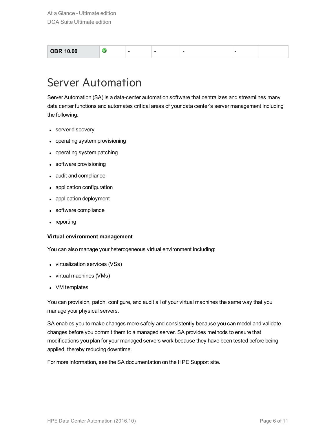| <b>OBR 10.00</b> | - | - | - | - |  |
|------------------|---|---|---|---|--|
|                  |   |   |   |   |  |

### <span id="page-5-0"></span>Server Automation

Server Automation (SA) is a data-center automation software that centralizes and streamlines many data center functions and automates critical areas of your data center's server management including the following:

- server discovery
- operating system provisioning
- operating system patching
- software provisioning
- audit and compliance
- application configuration
- application deployment
- software compliance
- $\bullet$  reporting

#### **Virtual environment management**

You can also manage your heterogeneous virtual environment including:

- virtualization services (VSs)
- $\bullet$  virtual machines (VMs)
- VM templates

You can provision, patch, configure, and audit all of your virtual machines the same way that you manage your physical servers.

SA enables you to make changes more safely and consistently because you can model and validate changes before you commit them to a managed server. SA provides methods to ensure that modifications you plan for your managed servers work because they have been tested before being applied, thereby reducing downtime.

For more information, see the SA documentation on the HPE Support site.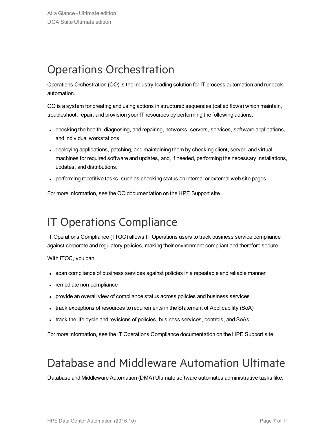## <span id="page-6-0"></span>Operations Orchestration

Operations Orchestration (OO) is the industry-leading solution for IT process automation and runbook automation.

OO is a system for creating and using actions in structured sequences (called flows) which maintain, troubleshoot, repair, and provision your IT resources by performing the following actions:

- checking the health, diagnosing, and repairing, networks, servers, services, software applications, and individual workstations.
- deploying applications, patching, and maintaining them by checking client, server, and virtual machines for required software and updates, and, if needed, performing the necessary installations, updates, and distributions.
- performing repetitive tasks, such as checking status on internal or external web site pages.

For more information, see the OO documentation on the HPE Support site.

## <span id="page-6-1"></span>IT Operations Compliance

IT Operations Compliance ( ITOC) allows IT Operations users to track business service compliance against corporate and regulatory policies, making their environment compliant and therefore secure.

With ITOC, you can:

- scan compliance of business services against policies in a repeatable and reliable manner
- remediate non-compliance
- provide an overall view of compliance status across policies and business services
- track exceptions of resources to requirements in the Statement of Applicability (SoA)
- I track the life cycle and revisions of policies, business services, controls, and SoAs

For more information, see the IT Operations Compliance documentation on the HPE Support site.

## <span id="page-6-2"></span>Database and Middleware Automation Ultimate

Database and Middleware Automation (DMA) Ultimate software automates administrative tasks like: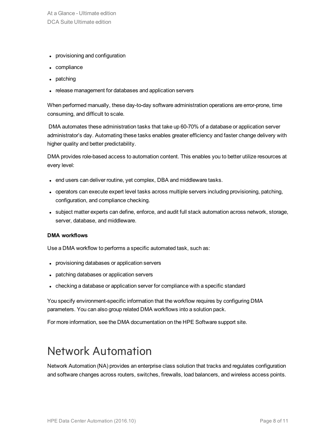At a Glance - Ultimate edition DCA Suite Ultimate edition

- provisioning and configuration
- compliance
- patching
- release management for databases and application servers

When performed manually, these day-to-day software administration operations are error-prone, time consuming, and difficult to scale.

DMA automates these administration tasks that take up 60-70% of a database or application server administrator's day. Automating these tasks enables greater efficiency and faster change delivery with higher quality and better predictability.

DMA provides role-based access to automation content. This enables you to better utilize resources at every level:

- end users can deliver routine, yet complex, DBA and middleware tasks.
- operators can execute expert level tasks across multiple servers including provisioning, patching, configuration, and compliance checking.
- subject matter experts can define, enforce, and audit full stack automation across network, storage, server, database, and middleware.

#### **DMA workflows**

Use a DMA workflow to performs a specific automated task, such as:

- provisioning databases or application servers
- patching databases or application servers
- checking a database or application server for compliance with a specific standard

You specify environment-specific information that the workflow requires by configuring DMA parameters. You can also group related DMA workflows into a solution pack.

For more information, see the DMA documentation on the HPE Software support site.

## <span id="page-7-0"></span>Network Automation

Network Automation (NA) provides an enterprise class solution that tracks and regulates configuration and software changes across routers, switches, firewalls, load balancers, and wireless access points.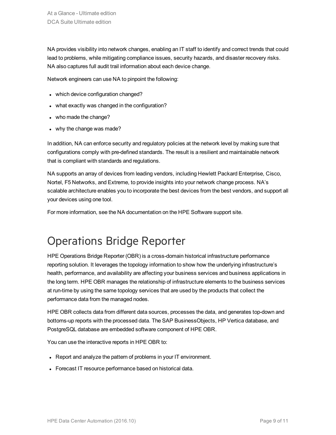NA provides visibility into network changes, enabling an IT staff to identify and correct trends that could lead to problems, while mitigating compliance issues, security hazards, and disaster recovery risks. NA also captures full audit trail information about each device change.

Network engineers can use NA to pinpoint the following:

- which device configuration changed?
- what exactly was changed in the configuration?
- who made the change?
- why the change was made?

In addition, NA can enforce security and regulatory policies at the network level by making sure that configurations comply with pre-defined standards. The result is a resilient and maintainable network that is compliant with standards and regulations.

NA supports an array of devices from leading vendors, including Hewlett Packard Enterprise, Cisco, Nortel, F5 Networks, and Extreme, to provide insights into your network change process. NA's scalable architecture enables you to incorporate the best devices from the best vendors, and support all your devices using one tool.

For more information, see the NA documentation on the HPE Software support site.

## <span id="page-8-0"></span>Operations Bridge Reporter

HPE Operations Bridge Reporter (OBR) is a cross-domain historical infrastructure performance reporting solution. It leverages the topology information to show how the underlying infrastructure's health, performance, and availability are affecting your business services and business applications in the long term. HPE OBR manages the relationship of infrastructure elements to the business services at run-time by using the same topology services that are used by the products that collect the performance data from the managed nodes.

HPE OBR collects data from different data sources, processes the data, and generates top-down and bottoms-up reports with the processed data. The SAP BusinessObjects, HP Vertica database, and PostgreSQL database are embedded software component of HPE OBR.

You can use the interactive reports in HPE OBR to:

- Report and analyze the pattern of problems in your IT environment.
- Forecast IT resource performance based on historical data.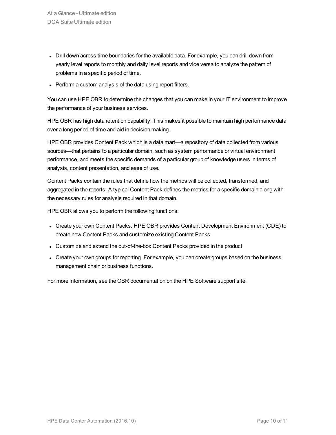- Drill down across time boundaries for the available data. For example, you can drill down from yearly level reports to monthly and daily level reports and vice versa to analyze the pattern of problems in a specific period of time.
- Perform a custom analysis of the data using report filters.

You can use HPE OBR to determine the changes that you can make in your IT environment to improve the performance of your business services.

HPE OBR has high data retention capability. This makes it possible to maintain high performance data over a long period of time and aid in decision making.

HPE OBR provides Content Pack which is a data mart—a repository of data collected from various sources—that pertains to a particular domain, such as system performance or virtual environment performance, and meets the specific demands of a particular group of knowledge users in terms of analysis, content presentation, and ease of use.

Content Packs contain the rules that define how the metrics will be collected, transformed, and aggregated in the reports. A typical Content Pack defines the metrics for a specific domain along with the necessary rules for analysis required in that domain.

HPE OBR allows you to perform the following functions:

- Create your own Content Packs. HPE OBR provides Content Development Environment (CDE) to create new Content Packs and customize existing Content Packs.
- Customize and extend the out-of-the-box Content Packs provided in the product.
- Create your own groups for reporting. For example, you can create groups based on the business management chain or business functions.

For more information, see the OBR documentation on the HPE Software support site.